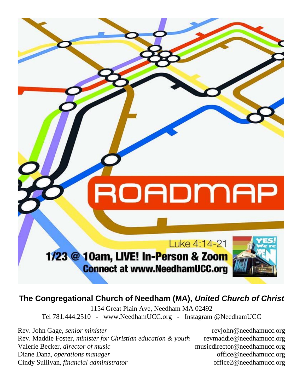ROADMAP Luke 4:14-21 1/23 @ 10am, LIVE! In-Person & Zoom **Connect at www.NeedhamUCC.org** 

**The Congregational Church of Needham (MA),** *United Church of Christ*

1154 Great Plain Ave, Needham MA 02492 Tel 781.444.2510 - www.NeedhamUCC.org - Instagram @NeedhamUCC

Rev. John Gage, *senior minister* reviohn@needhamucc.org Rev. Maddie Foster, *minister for Christian education & youth* revmaddie@needhamucc.org Valerie Becker, *director of music* music music musicdirector@needhamucc.org Diane Dana, *operations manager* office @needhamucc.org Cindy Sullivan, *financial administrator* office2@needhamucc.org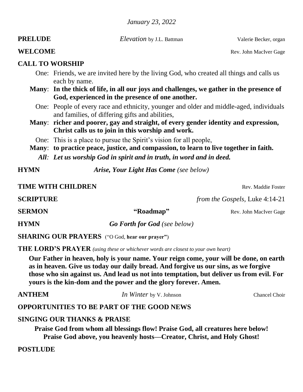*January 23, 2022*

**PRELUDE** *Elevation* by J.L. Battman *Valerie Becker, organ* 

#### **WELCOME** Rev. John MacIver Gage

### **CALL TO WORSHIP**

- One: Friends, we are invited here by the living God, who created all things and calls us each by name.
- **Many**: **In the thick of life, in all our joys and challenges, we gather in the presence of God, experienced in the presence of one another.**
	- One: People of every race and ethnicity, younger and older and middle-aged, individuals and families, of differing gifts and abilities,
- **Many**: **richer and poorer, gay and straight, of every gender identity and expression, Christ calls us to join in this worship and work.**
	- One: This is a place to pursue the Spirit's vision for all people,
- **Many**: **to practice peace, justice, and compassion, to learn to live together in faith.**
	- *All: Let us worship God in spirit and in truth, in word and in deed.*

**HYMN** *Arise, Your Light Has Come (see below)*

**TIME WITH CHILDREN** Rev. Maddie Foster

**SCRIPTURE** *from the Gospels,* Luke 4:14-21

**SERMON "Roadmap"** Rev. John MacIver Gage **HYMN** *Go Forth for God (see below)*

**SHARING OUR PRAYERS** ("O God, **hear our prayer"**)

**THE LORD'S PRAYER** *(using these or whichever words are closest to your own heart)*

**Our Father in heaven, holy is your name. Your reign come, your will be done, on earth as in heaven. Give us today our daily bread. And forgive us our sins, as we forgive those who sin against us. And lead us not into temptation, but deliver us from evil. For yours is the kin-dom and the power and the glory forever. Amen.**

**ANTHEM** *In Winter* by V. Johnson Chancel Choir

## **OPPORTUNITIES TO BE PART OF THE GOOD NEWS**

### **SINGING OUR THANKS & PRAISE**

**Praise God from whom all blessings flow! Praise God, all creatures here below! Praise God above, you heavenly hosts—Creator, Christ, and Holy Ghost!**

## **POSTLUDE**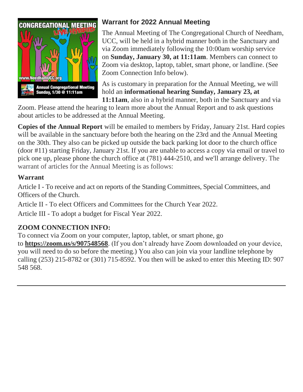

# **Warrant for 2022 Annual Meeting**

The Annual Meeting of The Congregational Church of Needham, UCC, will be held in a hybrid manner both in the Sanctuary and via Zoom immediately following the 10:00am worship service on **Sunday, January 30, at 11:11am**. Members can connect to Zoom via desktop, laptop, tablet, smart phone, or landline. (See Zoom Connection Info below).

As is customary in preparation for the Annual Meeting, we will hold an **informational hearing Sunday, January 23, at 11:11am**, also in a hybrid manner, both in the Sanctuary and via

Zoom. Please attend the hearing to learn more about the Annual Report and to ask questions about articles to be addressed at the Annual Meeting.

**Copies of the Annual Report** will be emailed to members by Friday, January 21st. Hard copies will be available in the sanctuary before both the hearing on the 23rd and the Annual Meeting on the 30th. They also can be picked up outside the back parking lot door to the church office (door #11) starting Friday, January 21st. If you are unable to access a copy via email or travel to pick one up, please phone the church office at (781) 444-2510, and we'll arrange delivery. The warrant of articles for the Annual Meeting is as follows:

# **Warrant**

Article I - To receive and act on reports of the Standing Committees, Special Committees, and Officers of the Church.

Article II - To elect Officers and Committees for the Church Year 2022.

Article III - To adopt a budget for Fiscal Year 2022.

# **ZOOM CONNECTION INFO:**

To connect via Zoom on your computer, laptop, tablet, or smart phone, go to **[https://zoom.us/s/907548568](https://r20.rs6.net/tn.jsp?f=001hqtj_ZWY8wivcxwf2CLwCU33Bra7Jh_Xzz_rlG5Bu_lgdOyCJ14SIhBVqJnwZO5oY6jmJC97sGFYuaccMgFDWL3kygHqWK0SikhXOiqmX7w9TqQsqTtpk1Z04hNalcfzuH4BuQ-PH2-ppcuHMGuBxQ==&c=l3YqEnFuy6Z949fQbuiPywnYFwTIXyu4DAXq1dqjImipEbDTvI0uHQ==&ch=LCKTP7MiCRDIY86iy8u3h6wliL6mF9cZlEo2wMoEZ-ImLPFKfdYXAw==)**. (If you don't already have Zoom downloaded on your device, you will need to do so before the meeting.) You also can join via your landline telephone by calling (253) 215-8782 or (301) 715-8592. You then will be asked to enter this Meeting ID: 907 548 568.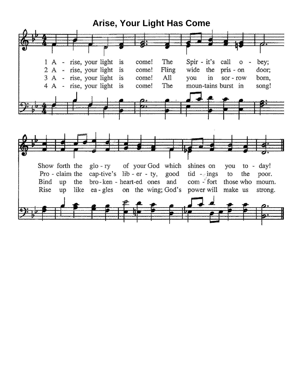